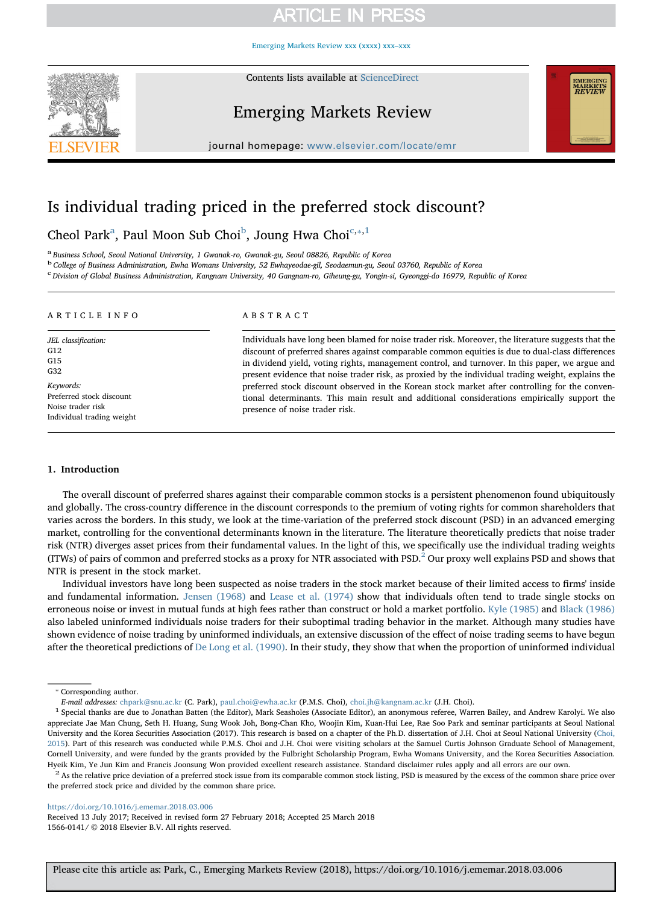## **ARTICLE IN PRESS**

[Emerging Markets Review xxx \(xxxx\) xxx–xxx](https://doi.org/10.1016/j.ememar.2018.03.006)



#### Contents lists available at [ScienceDirect](http://www.sciencedirect.com/science/journal/15660141)

# Emerging Markets Review

journal homepage: [www.elsevier.com/locate/emr](https://www.elsevier.com/locate/emr)

# Is individual trading priced in the preferred stock discount?

## Cheol Park<sup>a</sup>, Paul Moon Sub Choi<sup>b</sup>, Joung Hwa Choi<sup>c,\*,1</sup>

<sup>a</sup> Business School, Seoul National University, 1 Gwanak-ro, Gwanak-gu, Seoul 08826, Republic of Korea

<sup>b</sup> College of Business Administration, Ewha Womans University, 52 Ewhayeodae-gil, Seodaemun-gu, Seoul 03760, Republic of Korea

c Division of Global Business Administration, Kangnam University, 40 Gangnam-ro, Giheung-gu, Yongin-si, Gyeonggi-do 16979, Republic of Korea

#### ARTICLE INFO

JEL classification: G12 G15  $G32$ Keywords: Preferred stock discount Noise trader risk Individual trading weight

#### ABSTRACT

Individuals have long been blamed for noise trader risk. Moreover, the literature suggests that the discount of preferred shares against comparable common equities is due to dual-class differences in dividend yield, voting rights, management control, and turnover. In this paper, we argue and present evidence that noise trader risk, as proxied by the individual trading weight, explains the preferred stock discount observed in the Korean stock market after controlling for the conventional determinants. This main result and additional considerations empirically support the presence of noise trader risk.

EMERGING<br>MARKETS<br>*REVIEW* 

### 1. Introduction

The overall discount of preferred shares against their comparable common stocks is a persistent phenomenon found ubiquitously and globally. The cross-country difference in the discount corresponds to the premium of voting rights for common shareholders that varies across the borders. In this study, we look at the time-variation of the preferred stock discount (PSD) in an advanced emerging market, controlling for the conventional determinants known in the literature. The literature theoretically predicts that noise trader risk (NTR) diverges asset prices from their fundamental values. In the light of this, we specifically use the individual trading weights (ITWs) of pairs of common and preferred stocks as a proxy for NTR associated with PSD.2 Our proxy well explains PSD and shows that NTR is present in the stock market.

Individual investors have long been suspected as noise traders in the stock market because of their limited access to firms' inside and fundamental information. Jensen (1968) and Lease et al. (1974) show that individuals often tend to trade single stocks on erroneous noise or invest in mutual funds at high fees rather than construct or hold a market portfolio. Kyle (1985) and Black (1986) also labeled uninformed individuals noise traders for their suboptimal trading behavior in the market. Although many studies have shown evidence of noise trading by uninformed individuals, an extensive discussion of the effect of noise trading seems to have begun after the theoretical predictions of De Long et al. (1990). In their study, they show that when the proportion of uninformed individual

<sup>2</sup> As the relative price deviation of a preferred stock issue from its comparable common stock listing, PSD is measured by the excess of the common share price over the preferred stock price and divided by the common share price.

<https://doi.org/10.1016/j.ememar.2018.03.006>

Received 13 July 2017; Received in revised form 27 February 2018; Accepted 25 March 2018

1566-0141/ © 2018 Elsevier B.V. All rights reserved.

<sup>⁎</sup> Corresponding author.

E-mail addresses: [chpark@snu.ac.kr](mailto:chpark@snu.ac.kr) (C. Park), [paul.choi@ewha.ac.kr](mailto:paul.choi@ewha.ac.kr) (P.M.S. Choi), [choi.jh@kangnam.ac.kr](mailto:choi.jh@kangnam.ac.kr) (J.H. Choi).

<sup>1</sup> Special thanks are due to Jonathan Batten (the Editor), Mark Seasholes (Associate Editor), an anonymous referee, Warren Bailey, and Andrew Karolyi. We also appreciate Jae Man Chung, Seth H. Huang, Sung Wook Joh, Bong-Chan Kho, Woojin Kim, Kuan-Hui Lee, Rae Soo Park and seminar participants at Seoul National University and the Korea Securities Association (2017). This research is based on a chapter of the Ph.D. dissertation of J.H. Choi at Seoul National University (Choi, 2015). Part of this research was conducted while P.M.S. Choi and J.H. Choi were visiting scholars at the Samuel Curtis Johnson Graduate School of Management, Cornell University, and were funded by the grants provided by the Fulbright Scholarship Program, Ewha Womans University, and the Korea Securities Association. Hyeik Kim, Ye Jun Kim and Francis Joonsung Won provided excellent research assistance. Standard disclaimer rules apply and all errors are our own.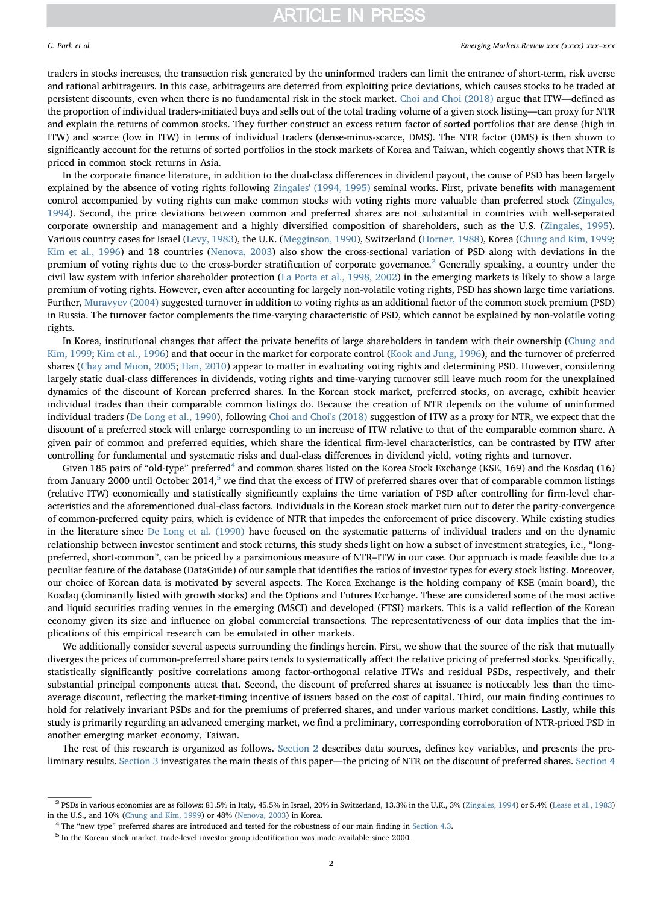## **ARTICLE IN PRESS**

#### C. Park et al. *Emerging Markets Review xxx (xxxx) xxx–xxx*

traders in stocks increases, the transaction risk generated by the uninformed traders can limit the entrance of short-term, risk averse and rational arbitrageurs. In this case, arbitrageurs are deterred from exploiting price deviations, which causes stocks to be traded at persistent discounts, even when there is no fundamental risk in the stock market. Choi and Choi (2018) argue that ITW—defined as the proportion of individual traders-initiated buys and sells out of the total trading volume of a given stock listing—can proxy for NTR and explain the returns of common stocks. They further construct an excess return factor of sorted portfolios that are dense (high in ITW) and scarce (low in ITW) in terms of individual traders (dense-minus-scarce, DMS). The NTR factor (DMS) is then shown to significantly account for the returns of sorted portfolios in the stock markets of Korea and Taiwan, which cogently shows that NTR is priced in common stock returns in Asia.

In the corporate finance literature, in addition to the dual-class differences in dividend payout, the cause of PSD has been largely explained by the absence of voting rights following Zingales' (1994, 1995) seminal works. First, private benefits with management control accompanied by voting rights can make common stocks with voting rights more valuable than preferred stock (Zingales, 1994). Second, the price deviations between common and preferred shares are not substantial in countries with well-separated corporate ownership and management and a highly diversified composition of shareholders, such as the U.S. (Zingales, 1995). Various country cases for Israel (Levy, 1983), the U.K. (Megginson, 1990), Switzerland (Horner, 1988), Korea (Chung and Kim, 1999; Kim et al., 1996) and 18 countries (Nenova, 2003) also show the cross-sectional variation of PSD along with deviations in the premium of voting rights due to the cross-border stratification of corporate governance.<sup>3</sup> Generally speaking, a country under the civil law system with inferior shareholder protection (La Porta et al., 1998, 2002) in the emerging markets is likely to show a large premium of voting rights. However, even after accounting for largely non-volatile voting rights, PSD has shown large time variations. Further, Muravyev (2004) suggested turnover in addition to voting rights as an additional factor of the common stock premium (PSD) in Russia. The turnover factor complements the time-varying characteristic of PSD, which cannot be explained by non-volatile voting rights.

In Korea, institutional changes that affect the private benefits of large shareholders in tandem with their ownership (Chung and Kim, 1999; Kim et al., 1996) and that occur in the market for corporate control (Kook and Jung, 1996), and the turnover of preferred shares (Chay and Moon, 2005; Han, 2010) appear to matter in evaluating voting rights and determining PSD. However, considering largely static dual-class differences in dividends, voting rights and time-varying turnover still leave much room for the unexplained dynamics of the discount of Korean preferred shares. In the Korean stock market, preferred stocks, on average, exhibit heavier individual trades than their comparable common listings do. Because the creation of NTR depends on the volume of uninformed individual traders (De Long et al., 1990), following Choi and Choi's (2018) suggestion of ITW as a proxy for NTR, we expect that the discount of a preferred stock will enlarge corresponding to an increase of ITW relative to that of the comparable common share. A given pair of common and preferred equities, which share the identical firm-level characteristics, can be contrasted by ITW after controlling for fundamental and systematic risks and dual-class differences in dividend yield, voting rights and turnover.

Given 185 pairs of "old-type" preferred<sup>4</sup> and common shares listed on the Korea Stock Exchange (KSE, 169) and the Kosdaq (16) from January 2000 until October 2014,<sup>5</sup> we find that the excess of ITW of preferred shares over that of comparable common listings (relative ITW) economically and statistically significantly explains the time variation of PSD after controlling for firm-level characteristics and the aforementioned dual-class factors. Individuals in the Korean stock market turn out to deter the parity-convergence of common-preferred equity pairs, which is evidence of NTR that impedes the enforcement of price discovery. While existing studies in the literature since De Long et al. (1990) have focused on the systematic patterns of individual traders and on the dynamic relationship between investor sentiment and stock returns, this study sheds light on how a subset of investment strategies, i.e., "longpreferred, short-common", can be priced by a parsimonious measure of NTR–ITW in our case. Our approach is made feasible due to a peculiar feature of the database (DataGuide) of our sample that identifies the ratios of investor types for every stock listing. Moreover, our choice of Korean data is motivated by several aspects. The Korea Exchange is the holding company of KSE (main board), the Kosdaq (dominantly listed with growth stocks) and the Options and Futures Exchange. These are considered some of the most active and liquid securities trading venues in the emerging (MSCI) and developed (FTSI) markets. This is a valid reflection of the Korean economy given its size and influence on global commercial transactions. The representativeness of our data implies that the implications of this empirical research can be emulated in other markets.

We additionally consider several aspects surrounding the findings herein. First, we show that the source of the risk that mutually diverges the prices of common-preferred share pairs tends to systematically affect the relative pricing of preferred stocks. Specifically, statistically significantly positive correlations among factor-orthogonal relative ITWs and residual PSDs, respectively, and their substantial principal components attest that. Second, the discount of preferred shares at issuance is noticeably less than the timeaverage discount, reflecting the market-timing incentive of issuers based on the cost of capital. Third, our main finding continues to hold for relatively invariant PSDs and for the premiums of preferred shares, and under various market conditions. Lastly, while this study is primarily regarding an advanced emerging market, we find a preliminary, corresponding corroboration of NTR-priced PSD in another emerging market economy, Taiwan.

The rest of this research is organized as follows. Section 2 describes data sources, defines key variables, and presents the preliminary results. Section 3 investigates the main thesis of this paper—the pricing of NTR on the discount of preferred shares. Section 4

<sup>3</sup> PSDs in various economies are as follows: 81.5% in Italy, 45.5% in Israel, 20% in Switzerland, 13.3% in the U.K., 3% (Zingales, 1994) or 5.4% (Lease et al., 1983) in the U.S., and 10% (Chung and Kim, 1999) or 48% (Nenova, 2003) in Korea.<br><sup>4</sup> The "new type" preferred shares are introduced and tested for the robustness of our main finding in Section 4.3.<br><sup>5</sup> In the Korean stock marke